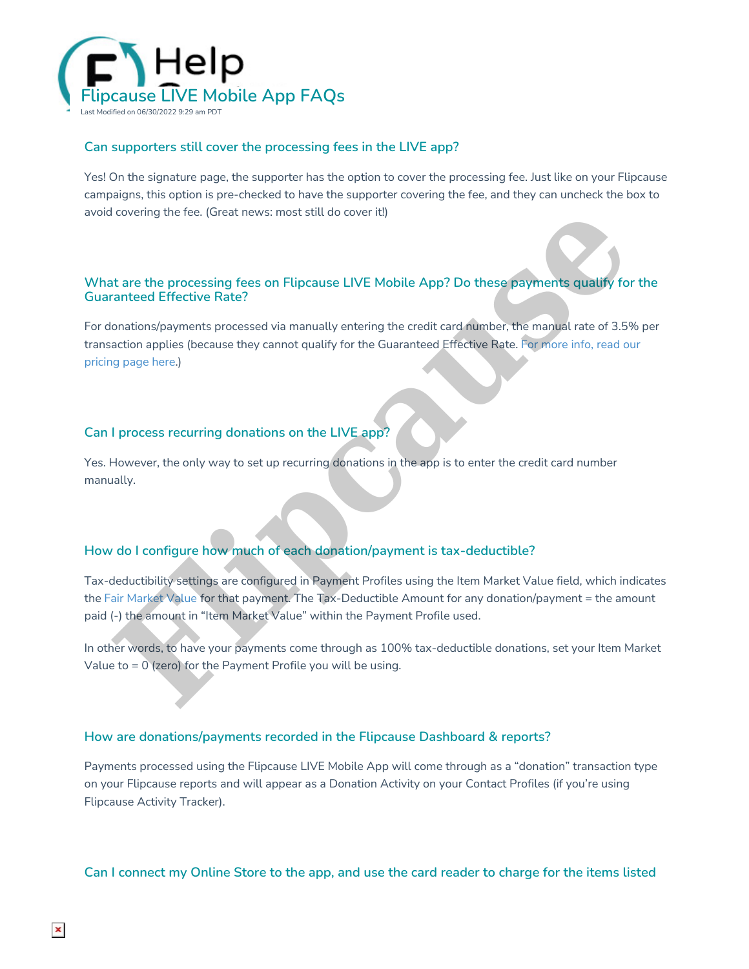

### **Can supporters still cover the processing fees in the LIVE app?**

Yes! On the signature page, the supporter has the option to cover the processing fee. Just like on your Flipcause campaigns, this option is pre-checked to have the supporter covering the fee, and they can uncheck the box to avoid covering the fee. (Great news: most still do cover it!)

### **What are the processing fees on Flipcause LIVE Mobile App? Do these payments qualify for the Guaranteed Effective Rate?**

For donations/payments processed via manually entering the credit card number, the manual rate of 3.5% per transaction applies (because they cannot qualify for the Guaranteed Effective Rate. For more info, read our pricing page here.)

## **Can I process recurring donations on the LIVE app?**

Yes. However, the only way to set up recurring donations in the app is to enter the credit card number manually.

# **How do I configure how much of each donation/payment is tax-deductible?**

Tax-deductibility settings are configured in Payment Profiles using the Item Market Value field, which indicates the Fair Market Value for that payment. The Tax-Deductible Amount for any donation/payment = the amount paid (-) the amount in "Item Market Value" within the Payment Profile used. **[Fl](http://help.flipcause.com/help/fair-market-value)ag to the set of the set of the Bayment School and the state of the Payment School and the state of the Payment School and the state of the payments and the state of the manual reterior and the state of the state of the** 

In other words, to have your payments come through as 100% tax-deductible donations, set your Item Market Value to  $= 0$  (zero) for the Payment Profile you will be using.

### **How are donations/payments recorded in the Flipcause Dashboard & reports?**

Payments processed using the Flipcause LIVE Mobile App will come through as a "donation" transaction type on your Flipcause reports and will appear as a Donation Activity on your Contact Profiles (if you're using Flipcause Activity Tracker).

Can I connect my Online Store to the app, and use the card reader to charge for the items listed